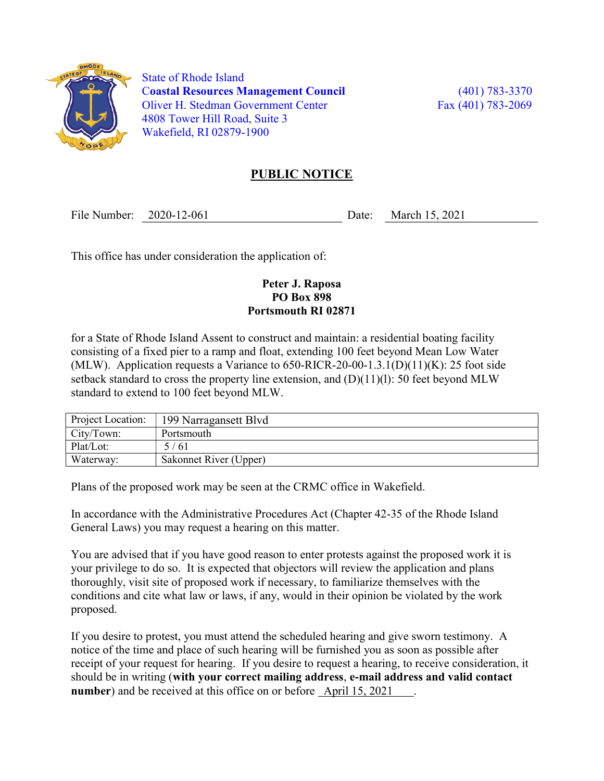

 State of Rhode Island Coastal Resources Management Council (401) 783-3370 Oliver H. Stedman Government Center Fax (401) 783-2069 4808 Tower Hill Road, Suite 3 Wakefield, RI 02879-1900

## PUBLIC NOTICE

File Number: 2020-12-061 Date: March 15, 2021

This office has under consideration the application of:

## Peter J. Raposa PO Box 898 Portsmouth RI 02871

for a State of Rhode Island Assent to construct and maintain: a residential boating facility consisting of a fixed pier to a ramp and float, extending 100 feet beyond Mean Low Water (MLW). Application requests a Variance to  $650$ -RICR-20-00-1.3.1(D)(11)(K): 25 foot side setback standard to cross the property line extension, and  $(D)(11)(l)$ : 50 feet beyond MLW standard to extend to 100 feet beyond MLW.

| Project Location: | 199 Narragansett Blvd  |
|-------------------|------------------------|
| City/Town:        | Portsmouth             |
| Plat/Lot:         | 5/61                   |
| Waterway:         | Sakonnet River (Upper) |

Plans of the proposed work may be seen at the CRMC office in Wakefield.

In accordance with the Administrative Procedures Act (Chapter 42-35 of the Rhode Island General Laws) you may request a hearing on this matter.

You are advised that if you have good reason to enter protests against the proposed work it is your privilege to do so. It is expected that objectors will review the application and plans thoroughly, visit site of proposed work if necessary, to familiarize themselves with the conditions and cite what law or laws, if any, would in their opinion be violated by the work proposed.

If you desire to protest, you must attend the scheduled hearing and give sworn testimony. A notice of the time and place of such hearing will be furnished you as soon as possible after receipt of your request for hearing. If you desire to request a hearing, to receive consideration, it should be in writing (with your correct mailing address, e-mail address and valid contact number) and be received at this office on or before April 15, 2021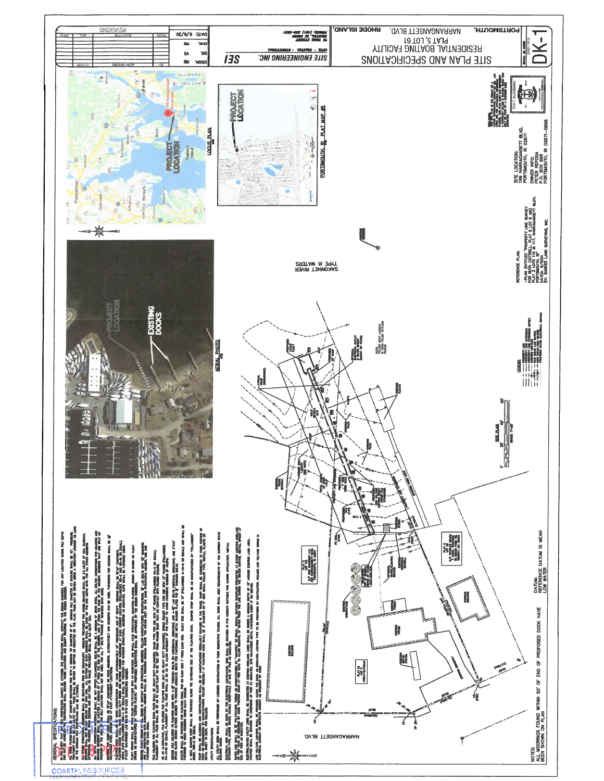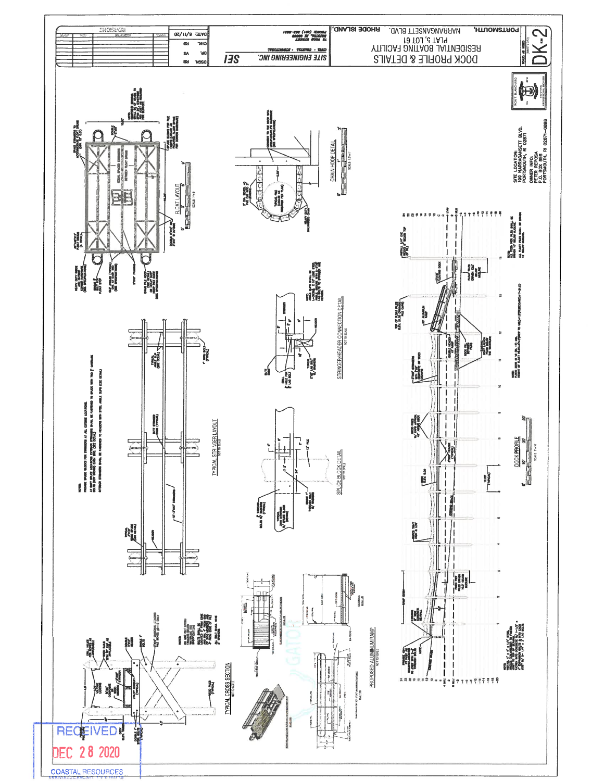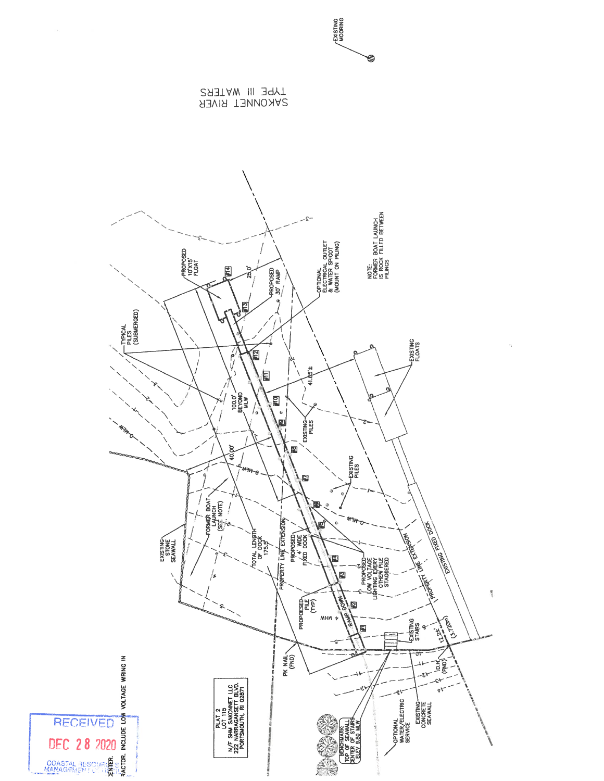